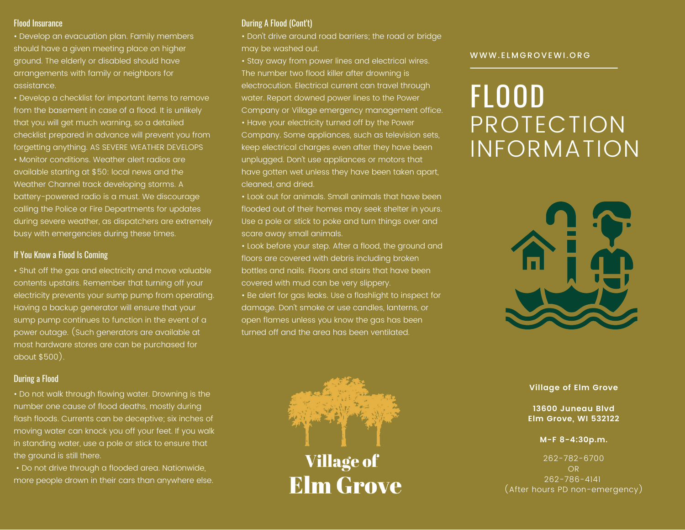• Develop an evacuation plan. Family members should have a given meeting place on higher ground. The elderly or disabled should have arrangements with family or neighbors for assistance.

• Develop a checklist for important items to remove from the basement in case of a flood. It is unlikely that you will get much warning, so a detailed checklist prepared in advance will prevent you from forgetting anything. AS SEVERE WEATHER DEVELOPS • Monitor conditions. Weather alert radios are available starting at \$50: local news and the Weather Channel track developing storms. A battery-powered radio is a must. We discourage calling the Police or Fire Departments for updates during severe weather, as dispatchers are extremely busy with emergencies during these times.

# If You Know a Flood Is Coming

• Shut off the gas and electricity and move valuable contents upstairs. Remember that turning off your electricity prevents your sump pump from operating. Having a backup generator will ensure that your sump pump continues to function in the event of a power outage. (Such generators are available at most hardware stores are can be purchased for about \$500).

# During a Flood

• Do not walk through flowing water. Drowning is the number one cause of flood deaths, mostly during flash floods. Currents can be deceptive; six inches of moving water can knock you off your feet. If you walk in standing water, use a pole or stick to ensure that the ground is still there.

• Do not drive through a flooded area. Nationwide, more people drown in their cars than anywhere else.

# Flood Insurance During A Flood (Cont't)

• Don't drive around road barriers; the road or bridge may be washed out.

• Stay away from power lines and electrical wires. The number two flood killer after drowning is electrocution. Electrical current can travel through water. Report downed power lines to the Power Company or Village emergency management office. • Have your electricity turned off by the Power Company. Some appliances, such as television sets, keep electrical charges even after they have been unplugged. Don't use appliances or motors that have gotten wet unless they have been taken apart, cleaned, and dried.

• Look out for animals. Small animals that have been flooded out of their homes may seek shelter in yours. Use a pole or stick to poke and turn things over and scare away small animals.

• Look before your step. After a flood, the ground and floors are covered with debris including broken bottles and nails. Floors and stairs that have been covered with mud can be very slippery.

• Be alert for gas leaks. Use a flashlight to inspect for damage. Don't smoke or use candles, lanterns, or open flames unless you know the gas has been turned off and the area has been ventilated.

## WWW. ELMGROVEWI.ORG

# **PROTECTION** INFORMATION FLOOD





**13600 Juneau Blvd Elm Grove, WI 532122**

## **M-F 8-4:30p.m.**

262-782-6700 OR 262-786-4141 (After hours PD non-emergency)